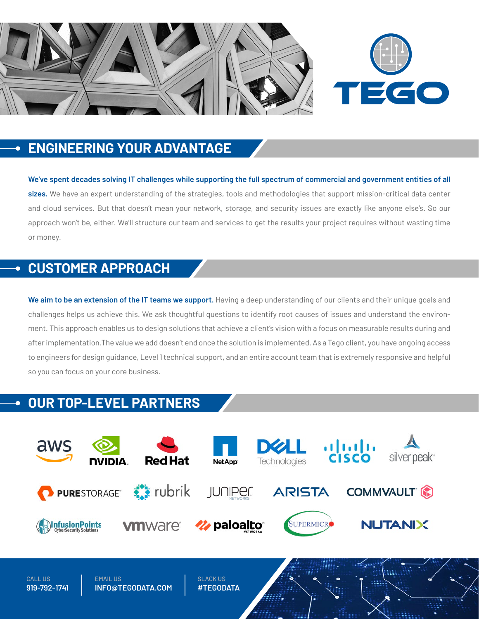

## **ENGINEERING YOUR ADVANTAGE**

**We've spent decades solving IT challenges while supporting the full spectrum of commercial and government entities of all sizes.** We have an expert understanding of the strategies, tools and methodologies that support mission-critical data center and cloud services. But that doesn't mean your network, storage, and security issues are exactly like anyone else's. So our approach won't be, either. We'll structure our team and services to get the results your project requires without wasting time or money.

# **CUSTOMER APPROACH**

We aim to be an extension of the IT teams we support. Having a deep understanding of our clients and their unique goals and challenges helps us achieve this. We ask thoughtful questions to identify root causes of issues and understand the environment. This approach enables us to design solutions that achieve a client's vision with a focus on measurable results during and after implementation.The value we add doesn't end once the solution is implemented. As a Tego client, you have ongoing access to engineers for design guidance, Level 1 technical support, and an entire account team that is extremely responsive and helpful so you can focus on your core business.

# **OUR TOP-LEVEL PARTNERS**